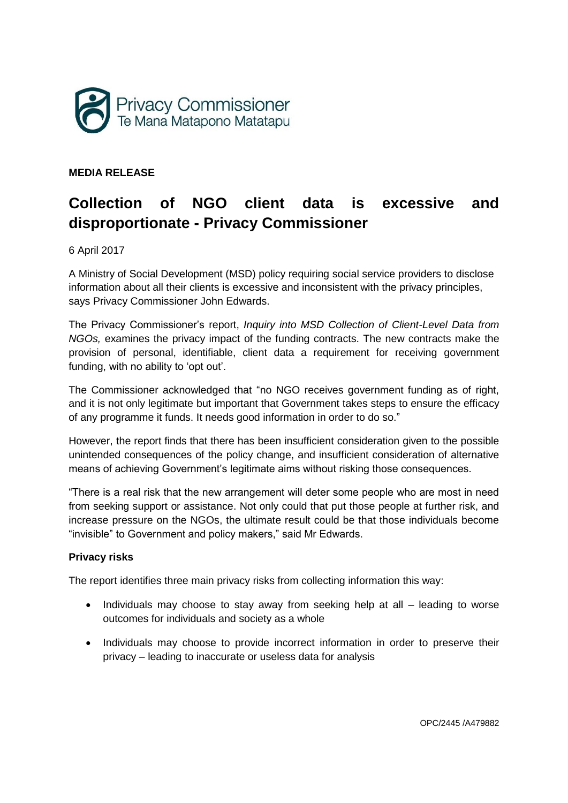

## **MEDIA RELEASE**

# **Collection of NGO client data is excessive and disproportionate - Privacy Commissioner**

6 April 2017

A Ministry of Social Development (MSD) policy requiring social service providers to disclose information about all their clients is excessive and inconsistent with the privacy principles, says Privacy Commissioner John Edwards.

The Privacy Commissioner's report, *Inquiry into MSD Collection of Client-Level Data from NGOs,* examines the privacy impact of the funding contracts. The new contracts make the provision of personal, identifiable, client data a requirement for receiving government funding, with no ability to 'opt out'.

The Commissioner acknowledged that "no NGO receives government funding as of right, and it is not only legitimate but important that Government takes steps to ensure the efficacy of any programme it funds. It needs good information in order to do so."

However, the report finds that there has been insufficient consideration given to the possible unintended consequences of the policy change, and insufficient consideration of alternative means of achieving Government's legitimate aims without risking those consequences.

"There is a real risk that the new arrangement will deter some people who are most in need from seeking support or assistance. Not only could that put those people at further risk, and increase pressure on the NGOs, the ultimate result could be that those individuals become "invisible" to Government and policy makers," said Mr Edwards.

### **Privacy risks**

The report identifies three main privacy risks from collecting information this way:

- Individuals may choose to stay away from seeking help at all leading to worse outcomes for individuals and society as a whole
- Individuals may choose to provide incorrect information in order to preserve their privacy – leading to inaccurate or useless data for analysis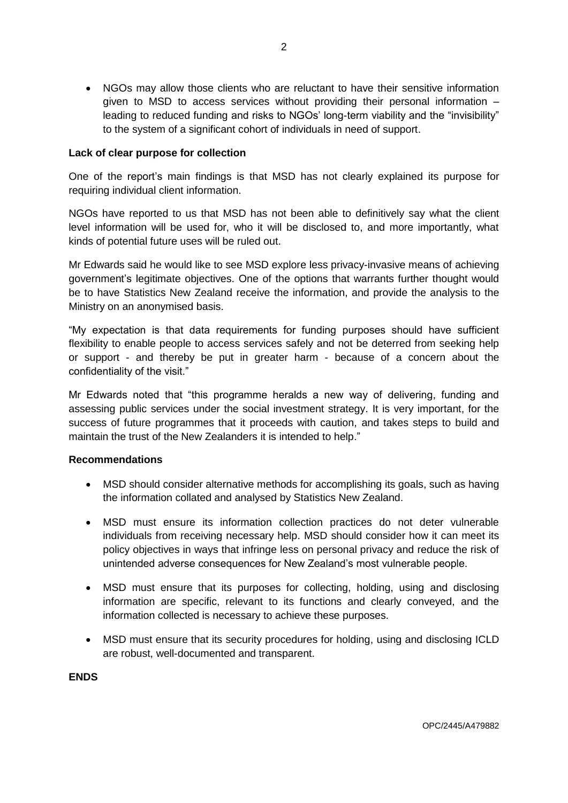NGOs may allow those clients who are reluctant to have their sensitive information given to MSD to access services without providing their personal information  $$ leading to reduced funding and risks to NGOs' long-term viability and the "invisibility" to the system of a significant cohort of individuals in need of support.

#### **Lack of clear purpose for collection**

One of the report's main findings is that MSD has not clearly explained its purpose for requiring individual client information.

NGOs have reported to us that MSD has not been able to definitively say what the client level information will be used for, who it will be disclosed to, and more importantly, what kinds of potential future uses will be ruled out.

Mr Edwards said he would like to see MSD explore less privacy-invasive means of achieving government's legitimate objectives. One of the options that warrants further thought would be to have Statistics New Zealand receive the information, and provide the analysis to the Ministry on an anonymised basis.

"My expectation is that data requirements for funding purposes should have sufficient flexibility to enable people to access services safely and not be deterred from seeking help or support - and thereby be put in greater harm - because of a concern about the confidentiality of the visit."

Mr Edwards noted that "this programme heralds a new way of delivering, funding and assessing public services under the social investment strategy. It is very important, for the success of future programmes that it proceeds with caution, and takes steps to build and maintain the trust of the New Zealanders it is intended to help."

#### **Recommendations**

- MSD should consider alternative methods for accomplishing its goals, such as having the information collated and analysed by Statistics New Zealand.
- MSD must ensure its information collection practices do not deter vulnerable individuals from receiving necessary help. MSD should consider how it can meet its policy objectives in ways that infringe less on personal privacy and reduce the risk of unintended adverse consequences for New Zealand's most vulnerable people.
- MSD must ensure that its purposes for collecting, holding, using and disclosing information are specific, relevant to its functions and clearly conveyed, and the information collected is necessary to achieve these purposes.
- MSD must ensure that its security procedures for holding, using and disclosing ICLD are robust, well-documented and transparent.

### **ENDS**